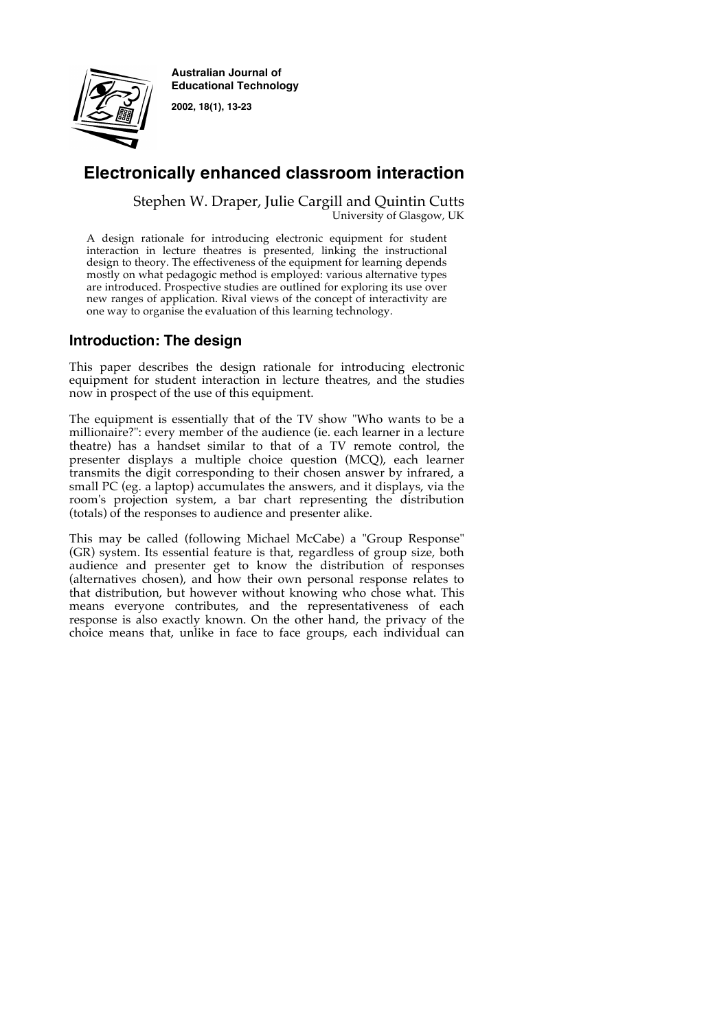

**Australian Journal of Educational Technology**

**2002, 18(1), 13-23**

# **Electronically enhanced classroom interaction**

Stephen W. Draper, Julie Cargill and Quintin Cutts University of Glasgow, UK

A design rationale for introducing electronic equipment for student interaction in lecture theatres is presented, linking the instructional design to theory. The effectiveness of the equipment for learning depends mostly on what pedagogic method is employed: various alternative types are introduced. Prospective studies are outlined for exploring its use over new ranges of application. Rival views of the concept of interactivity are one way to organise the evaluation of this learning technology.

## **Introduction: The design**

This paper describes the design rationale for introducing electronic equipment for student interaction in lecture theatres, and the studies now in prospect of the use of this equipment.

The equipment is essentially that of the TV show "Who wants to be a millionaire?": every member of the audience (ie. each learner in a lecture theatre) has a handset similar to that of a TV remote control, the presenter displays a multiple choice question (MCQ), each learner transmits the digit corresponding to their chosen answer by infrared, a small PC (eg. a laptop) accumulates the answers, and it displays, via the room's projection system, a bar chart representing the distribution (totals) of the responses to audience and presenter alike.

This may be called (following Michael McCabe) a "Group Response" (GR) system. Its essential feature is that, regardless of group size, both audience and presenter get to know the distribution of responses (alternatives chosen), and how their own personal response relates to that distribution, but however without knowing who chose what. This means everyone contributes, and the representativeness of each response is also exactly known. On the other hand, the privacy of the choice means that, unlike in face to face groups, each individual can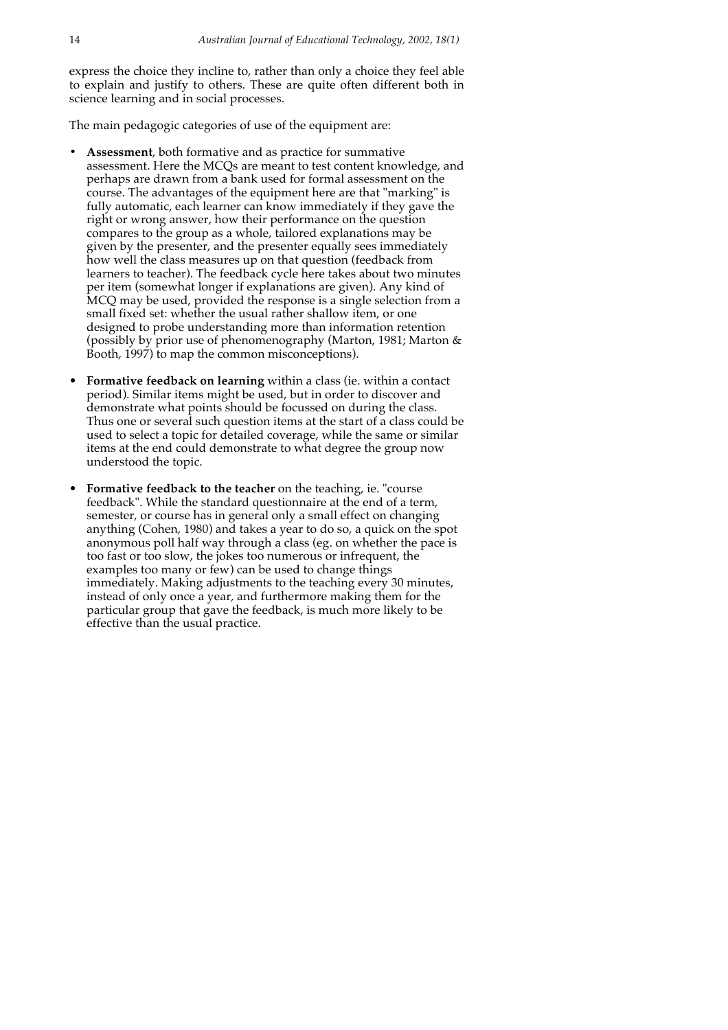express the choice they incline to, rather than only a choice they feel able to explain and justify to others. These are quite often different both in science learning and in social processes.

The main pedagogic categories of use of the equipment are:

- **• Assessment**, both formative and as practice for summative assessment. Here the MCQs are meant to test content knowledge, and perhaps are drawn from a bank used for formal assessment on the course. The advantages of the equipment here are that "marking" is fully automatic, each learner can know immediately if they gave the right or wrong answer, how their performance on the question compares to the group as a whole, tailored explanations may be given by the presenter, and the presenter equally sees immediately how well the class measures up on that question (feedback from learners to teacher). The feedback cycle here takes about two minutes per item (somewhat longer if explanations are given). Any kind of MCQ may be used, provided the response is a single selection from a small fixed set: whether the usual rather shallow item, or one designed to probe understanding more than information retention (possibly by prior use of phenomenography (Marton, 1981; Marton & Booth, 1997) to map the common misconceptions).
- **Formative feedback on learning** within a class (ie. within a contact period). Similar items might be used, but in order to discover and demonstrate what points should be focussed on during the class. Thus one or several such question items at the start of a class could be used to select a topic for detailed coverage, while the same or similar items at the end could demonstrate to what degree the group now understood the topic.
- **Formative feedback to the teacher** on the teaching, ie. "course feedback". While the standard questionnaire at the end of a term, semester, or course has in general only a small effect on changing anything (Cohen, 1980) and takes a year to do so, a quick on the spot anonymous poll half way through a class (eg. on whether the pace is too fast or too slow, the jokes too numerous or infrequent, the examples too many or few) can be used to change things immediately. Making adjustments to the teaching every 30 minutes, instead of only once a year, and furthermore making them for the particular group that gave the feedback, is much more likely to be effective than the usual practice.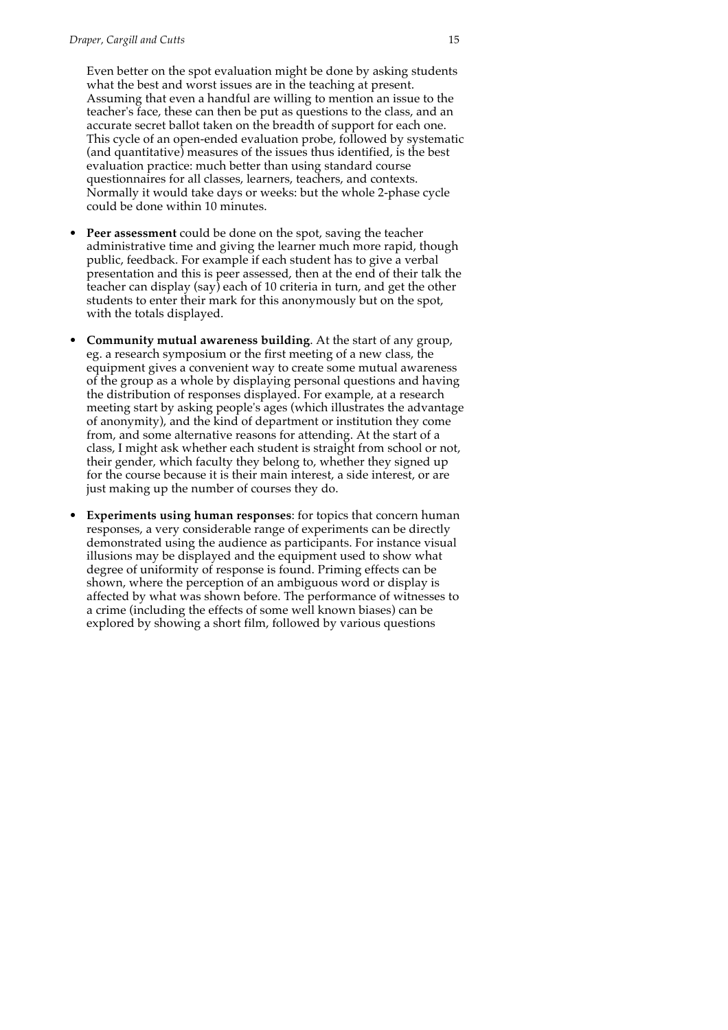Even better on the spot evaluation might be done by asking students what the best and worst issues are in the teaching at present. Assuming that even a handful are willing to mention an issue to the teacher's face, these can then be put as questions to the class, and an accurate secret ballot taken on the breadth of support for each one. This cycle of an open-ended evaluation probe, followed by systematic (and quantitative) measures of the issues thus identified, is the best evaluation practice: much better than using standard course questionnaires for all classes, learners, teachers, and contexts. Normally it would take days or weeks: but the whole 2-phase cycle could be done within 10 minutes.

- **Peer assessment** could be done on the spot, saving the teacher administrative time and giving the learner much more rapid, though public, feedback. For example if each student has to give a verbal presentation and this is peer assessed, then at the end of their talk the teacher can display (say) each of 10 criteria in turn, and get the other students to enter their mark for this anonymously but on the spot, with the totals displayed.
- **Community mutual awareness building**. At the start of any group, eg. a research symposium or the first meeting of a new class, the equipment gives a convenient way to create some mutual awareness of the group as a whole by displaying personal questions and having the distribution of responses displayed. For example, at a research meeting start by asking people's ages (which illustrates the advantage of anonymity), and the kind of department or institution they come from, and some alternative reasons for attending. At the start of a class, I might ask whether each student is straight from school or not, their gender, which faculty they belong to, whether they signed up for the course because it is their main interest, a side interest, or are just making up the number of courses they do.
- **Experiments using human responses**: for topics that concern human responses, a very considerable range of experiments can be directly demonstrated using the audience as participants. For instance visual illusions may be displayed and the equipment used to show what degree of uniformity of response is found. Priming effects can be shown, where the perception of an ambiguous word or display is affected by what was shown before. The performance of witnesses to a crime (including the effects of some well known biases) can be explored by showing a short film, followed by various questions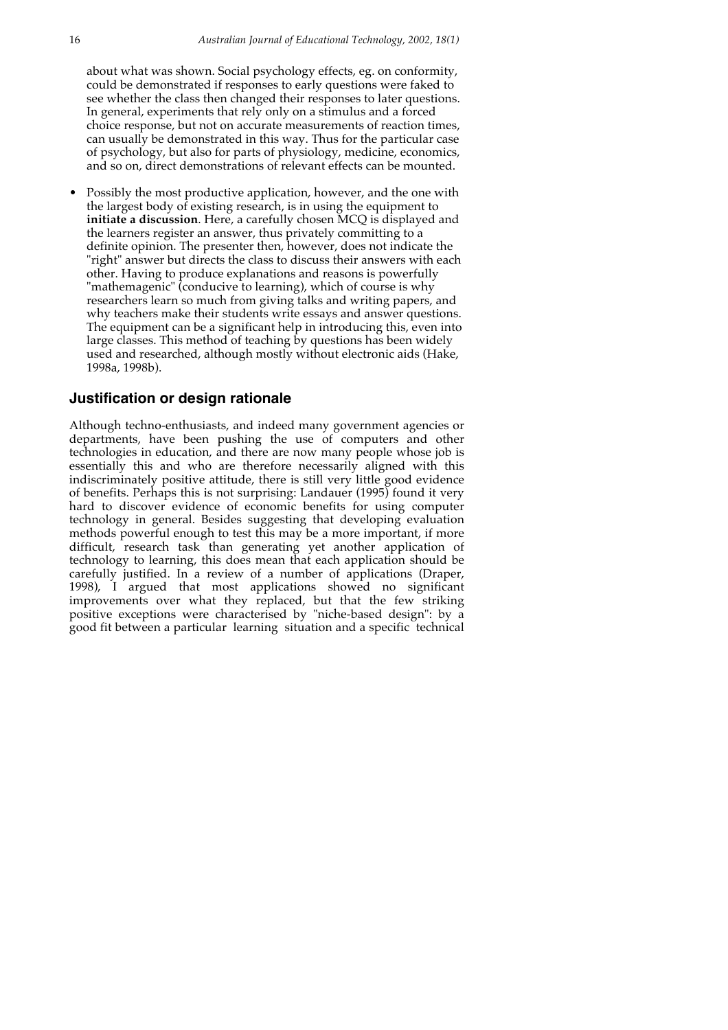about what was shown. Social psychology effects, eg. on conformity, could be demonstrated if responses to early questions were faked to see whether the class then changed their responses to later questions. In general, experiments that rely only on a stimulus and a forced choice response, but not on accurate measurements of reaction times, can usually be demonstrated in this way. Thus for the particular case of psychology, but also for parts of physiology, medicine, economics, and so on, direct demonstrations of relevant effects can be mounted.

• Possibly the most productive application, however, and the one with the largest body of existing research, is in using the equipment to **initiate a discussion**. Here, a carefully chosen MCQ is displayed and the learners register an answer, thus privately committing to a definite opinion. The presenter then, however, does not indicate the "right" answer but directs the class to discuss their answers with each other. Having to produce explanations and reasons is powerfully "mathemagenic" (conducive to learning), which of course is why researchers learn so much from giving talks and writing papers, and why teachers make their students write essays and answer questions. The equipment can be a significant help in introducing this, even into large classes. This method of teaching by questions has been widely used and researched, although mostly without electronic aids (Hake, 1998a, 1998b).

#### **Justification or design rationale**

Although techno-enthusiasts, and indeed many government agencies or departments, have been pushing the use of computers and other technologies in education, and there are now many people whose job is essentially this and who are therefore necessarily aligned with this indiscriminately positive attitude, there is still very little good evidence of benefits. Perhaps this is not surprising: Landauer (1995) found it very hard to discover evidence of economic benefits for using computer technology in general. Besides suggesting that developing evaluation methods powerful enough to test this may be a more important, if more difficult, research task than generating yet another application of technology to learning, this does mean that each application should be carefully justified. In a review of a number of applications (Draper, 1998), I argued that most applications showed no significant improvements over what they replaced, but that the few striking positive exceptions were characterised by "niche-based design": by a good fit between a particular learning situation and a specific technical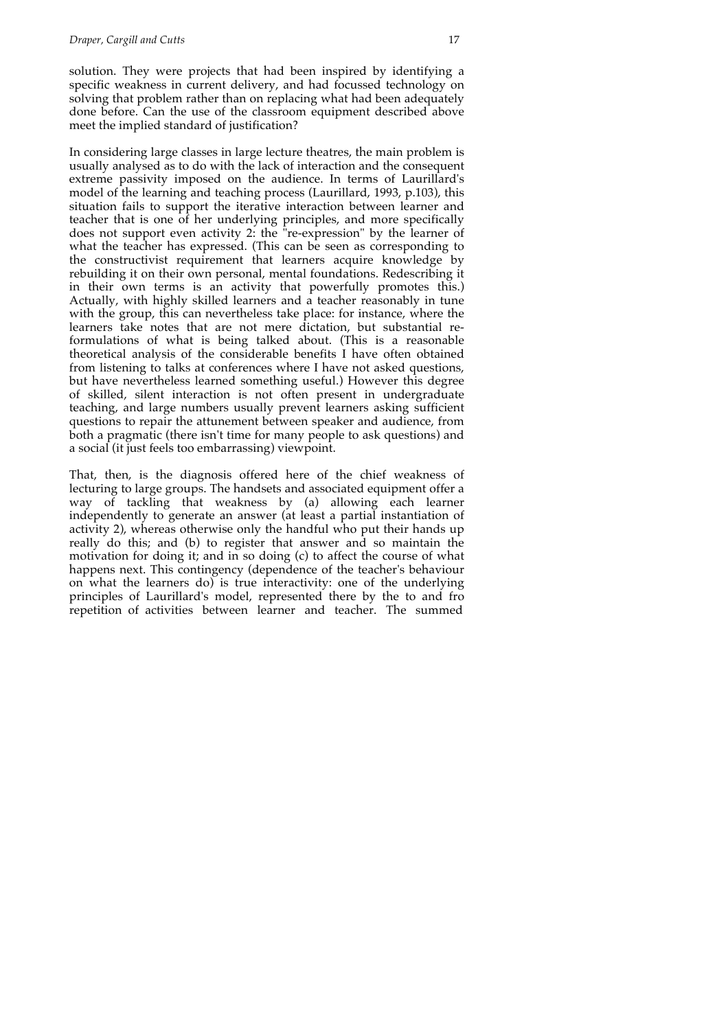solution. They were projects that had been inspired by identifying a specific weakness in current delivery, and had focussed technology on solving that problem rather than on replacing what had been adequately done before. Can the use of the classroom equipment described above meet the implied standard of justification?

In considering large classes in large lecture theatres, the main problem is usually analysed as to do with the lack of interaction and the consequent extreme passivity imposed on the audience. In terms of Laurillard's model of the learning and teaching process (Laurillard, 1993, p.103), this situation fails to support the iterative interaction between learner and teacher that is one of her underlying principles, and more specifically does not support even activity 2: the "re-expression" by the learner of what the teacher has expressed. (This can be seen as corresponding to the constructivist requirement that learners acquire knowledge by rebuilding it on their own personal, mental foundations. Redescribing it in their own terms is an activity that powerfully promotes this.) Actually, with highly skilled learners and a teacher reasonably in tune with the group, this can nevertheless take place: for instance, where the learners take notes that are not mere dictation, but substantial reformulations of what is being talked about. (This is a reasonable theoretical analysis of the considerable benefits I have often obtained from listening to talks at conferences where I have not asked questions, but have nevertheless learned something useful.) However this degree of skilled, silent interaction is not often present in undergraduate teaching, and large numbers usually prevent learners asking sufficient questions to repair the attunement between speaker and audience, from both a pragmatic (there isn't time for many people to ask questions) and a social (it just feels too embarrassing) viewpoint.

That, then, is the diagnosis offered here of the chief weakness of lecturing to large groups. The handsets and associated equipment offer a way of tackling that weakness by (a) allowing each learner independently to generate an answer (at least a partial instantiation of activity 2), whereas otherwise only the handful who put their hands up really do this; and (b) to register that answer and so maintain the motivation for doing it; and in so doing (c) to affect the course of what happens next. This contingency (dependence of the teacher's behaviour on what the learners do) is true interactivity: one of the underlying principles of Laurillard's model, represented there by the to and fro repetition of activities between learner and teacher. The summed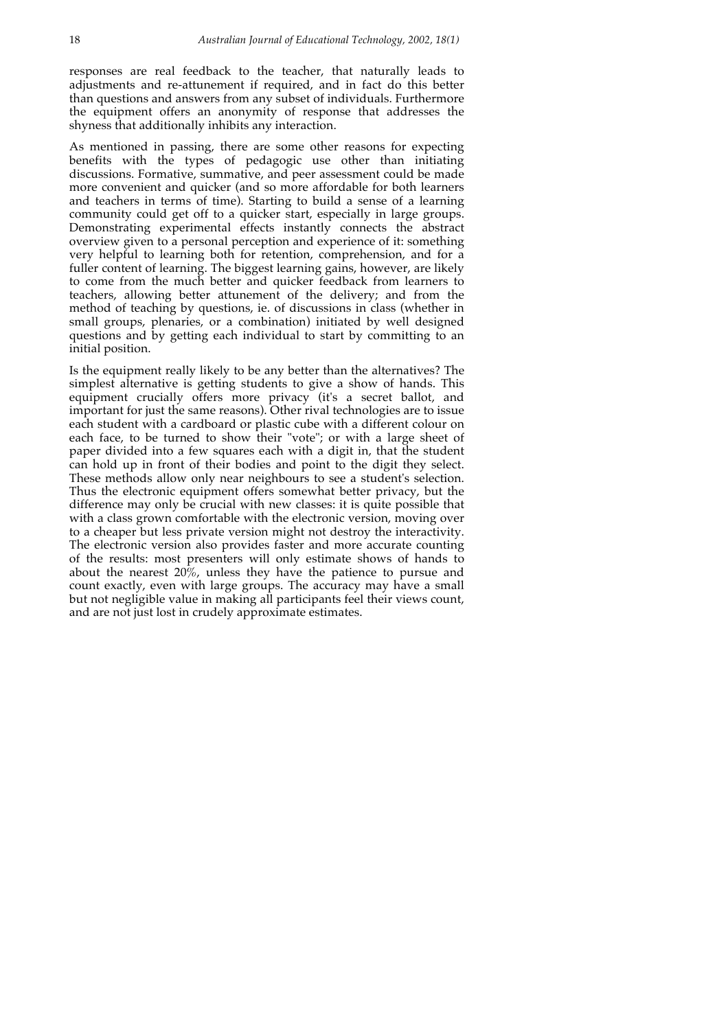responses are real feedback to the teacher, that naturally leads to adjustments and re-attunement if required, and in fact do this better than questions and answers from any subset of individuals. Furthermore the equipment offers an anonymity of response that addresses the shyness that additionally inhibits any interaction.

As mentioned in passing, there are some other reasons for expecting benefits with the types of pedagogic use other than initiating discussions. Formative, summative, and peer assessment could be made more convenient and quicker (and so more affordable for both learners and teachers in terms of time). Starting to build a sense of a learning community could get off to a quicker start, especially in large groups. Demonstrating experimental effects instantly connects the abstract overview given to a personal perception and experience of it: something very helpful to learning both for retention, comprehension, and for a fuller content of learning. The biggest learning gains, however, are likely to come from the much better and quicker feedback from learners to teachers, allowing better attunement of the delivery; and from the method of teaching by questions, ie. of discussions in class (whether in small groups, plenaries, or a combination) initiated by well designed questions and by getting each individual to start by committing to an initial position.

Is the equipment really likely to be any better than the alternatives? The simplest alternative is getting students to give a show of hands. This equipment crucially offers more privacy (it's a secret ballot, and important for just the same reasons). Other rival technologies are to issue each student with a cardboard or plastic cube with a different colour on each face, to be turned to show their "vote"; or with a large sheet of paper divided into a few squares each with a digit in, that the student can hold up in front of their bodies and point to the digit they select. These methods allow only near neighbours to see a student's selection. Thus the electronic equipment offers somewhat better privacy, but the difference may only be crucial with new classes: it is quite possible that with a class grown comfortable with the electronic version, moving over to a cheaper but less private version might not destroy the interactivity. The electronic version also provides faster and more accurate counting of the results: most presenters will only estimate shows of hands to about the nearest 20%, unless they have the patience to pursue and count exactly, even with large groups. The accuracy may have a small but not negligible value in making all participants feel their views count, and are not just lost in crudely approximate estimates.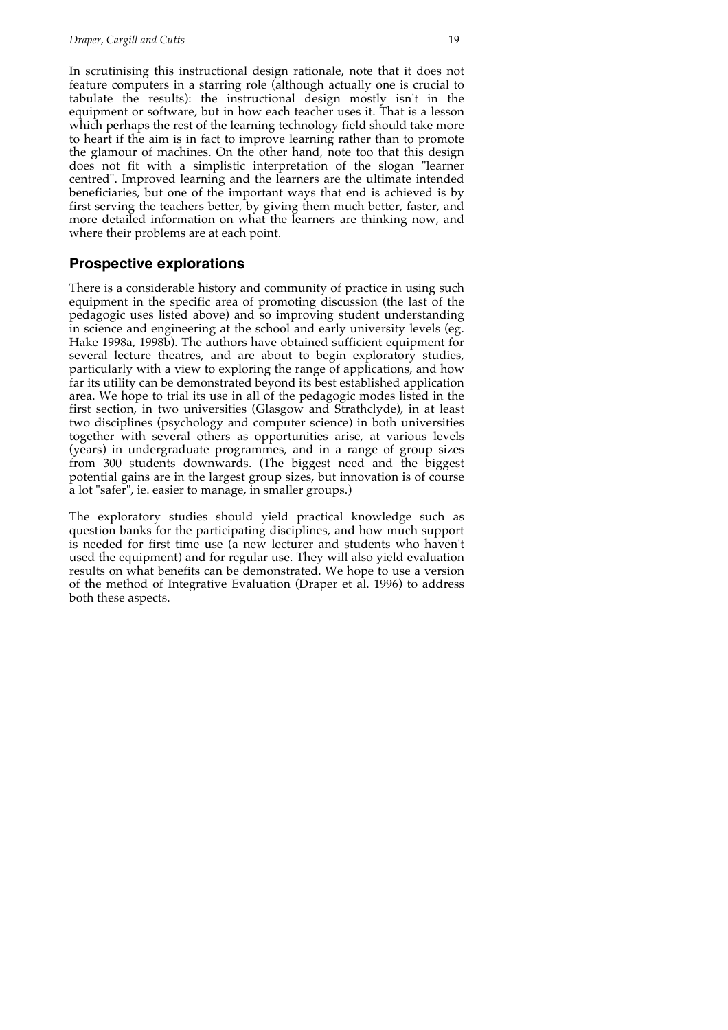In scrutinising this instructional design rationale, note that it does not feature computers in a starring role (although actually one is crucial to tabulate the results): the instructional design mostly isn't in the equipment or software, but in how each teacher uses it. That is a lesson which perhaps the rest of the learning technology field should take more to heart if the aim is in fact to improve learning rather than to promote the glamour of machines. On the other hand, note too that this design does not fit with a simplistic interpretation of the slogan "learner centred". Improved learning and the learners are the ultimate intended beneficiaries, but one of the important ways that end is achieved is by first serving the teachers better, by giving them much better, faster, and more detailed information on what the learners are thinking now, and where their problems are at each point.

#### **Prospective explorations**

There is a considerable history and community of practice in using such equipment in the specific area of promoting discussion (the last of the pedagogic uses listed above) and so improving student understanding in science and engineering at the school and early university levels (eg. Hake 1998a, 1998b). The authors have obtained sufficient equipment for several lecture theatres, and are about to begin exploratory studies, particularly with a view to exploring the range of applications, and how far its utility can be demonstrated beyond its best established application area. We hope to trial its use in all of the pedagogic modes listed in the first section, in two universities (Glasgow and Strathclyde), in at least two disciplines (psychology and computer science) in both universities together with several others as opportunities arise, at various levels (years) in undergraduate programmes, and in a range of group sizes from 300 students downwards. (The biggest need and the biggest potential gains are in the largest group sizes, but innovation is of course a lot "safer", ie. easier to manage, in smaller groups.)

The exploratory studies should yield practical knowledge such as question banks for the participating disciplines, and how much support is needed for first time use (a new lecturer and students who haven't used the equipment) and for regular use. They will also yield evaluation results on what benefits can be demonstrated. We hope to use a version of the method of Integrative Evaluation (Draper et al. 1996) to address both these aspects.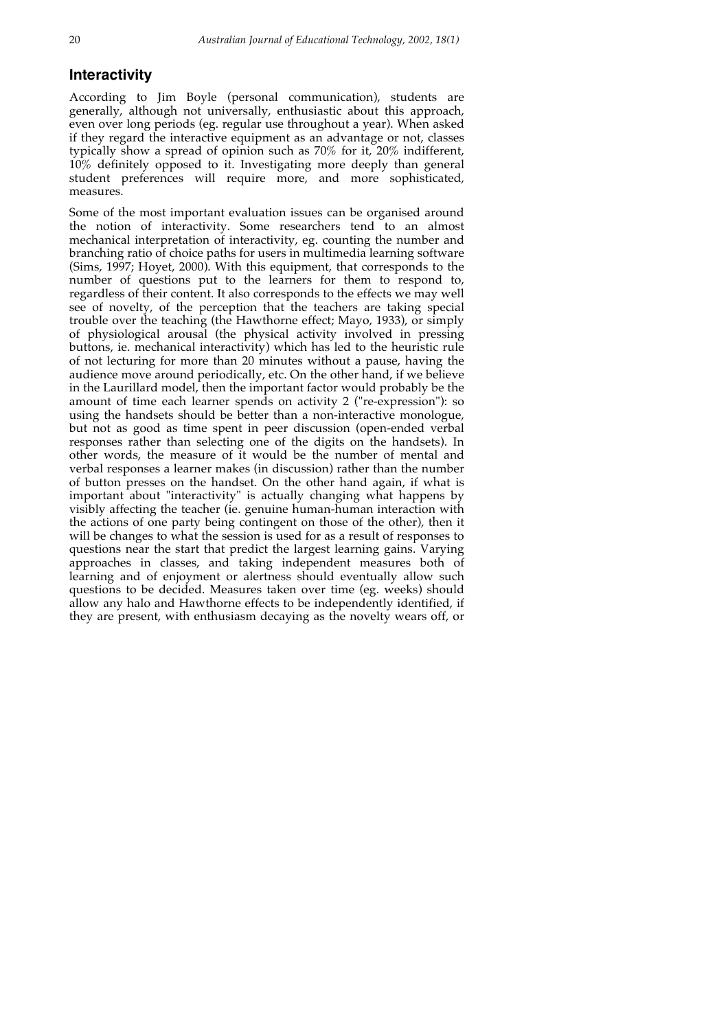### **Interactivity**

According to Jim Boyle (personal communication), students are generally, although not universally, enthusiastic about this approach, even over long periods (eg. regular use throughout a year). When asked if they regard the interactive equipment as an advantage or not, classes typically show a spread of opinion such as 70% for it, 20% indifferent, 10% definitely opposed to it. Investigating more deeply than general student preferences will require more, and more sophisticated, measures.

Some of the most important evaluation issues can be organised around the notion of interactivity. Some researchers tend to an almost mechanical interpretation of interactivity, eg. counting the number and branching ratio of choice paths for users in multimedia learning software (Sims, 1997; Hoyet, 2000). With this equipment, that corresponds to the number of questions put to the learners for them to respond to, regardless of their content. It also corresponds to the effects we may well see of novelty, of the perception that the teachers are taking special trouble over the teaching (the Hawthorne effect; Mayo, 1933), or simply of physiological arousal (the physical activity involved in pressing buttons, ie. mechanical interactivity) which has led to the heuristic rule of not lecturing for more than 20 minutes without a pause, having the audience move around periodically, etc. On the other hand, if we believe in the Laurillard model, then the important factor would probably be the amount of time each learner spends on activity 2 ("re-expression"): so using the handsets should be better than a non-interactive monologue, but not as good as time spent in peer discussion (open-ended verbal responses rather than selecting one of the digits on the handsets). In other words, the measure of it would be the number of mental and verbal responses a learner makes (in discussion) rather than the number of button presses on the handset. On the other hand again, if what is important about "interactivity" is actually changing what happens by visibly affecting the teacher (ie. genuine human-human interaction with the actions of one party being contingent on those of the other), then it will be changes to what the session is used for as a result of responses to questions near the start that predict the largest learning gains. Varying approaches in classes, and taking independent measures both of learning and of enjoyment or alertness should eventually allow such questions to be decided. Measures taken over time (eg. weeks) should allow any halo and Hawthorne effects to be independently identified, if they are present, with enthusiasm decaying as the novelty wears off, or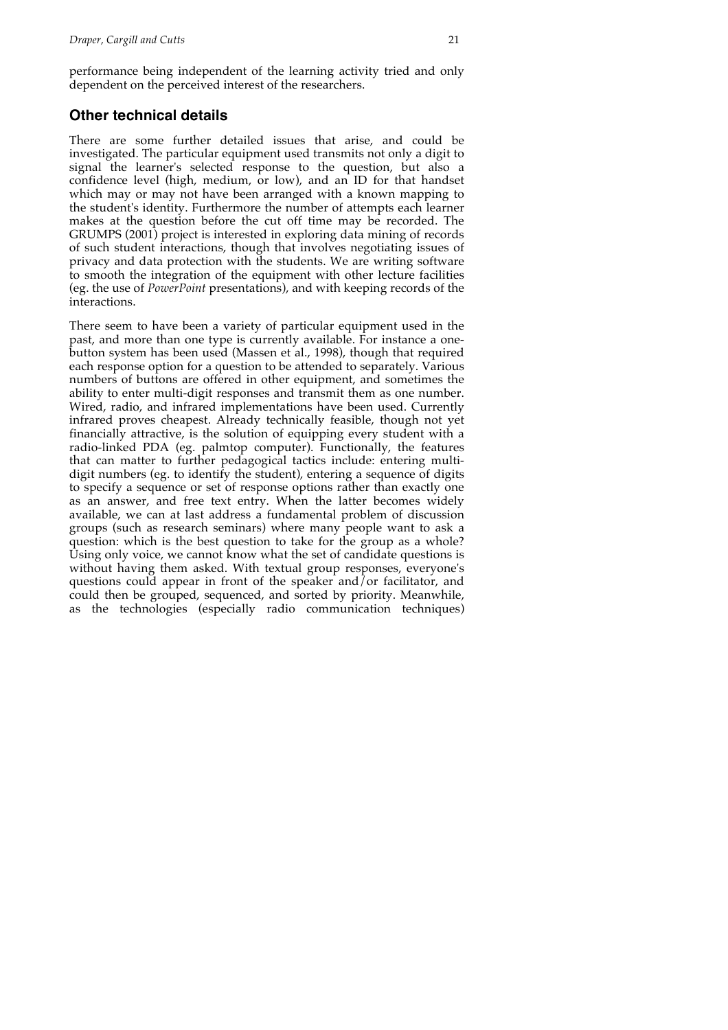performance being independent of the learning activity tried and only dependent on the perceived interest of the researchers.

## **Other technical details**

There are some further detailed issues that arise, and could be investigated. The particular equipment used transmits not only a digit to signal the learner's selected response to the question, but also a confidence level (high, medium, or low), and an ID for that handset which may or may not have been arranged with a known mapping to the student's identity. Furthermore the number of attempts each learner makes at the question before the cut off time may be recorded. The GRUMPS (2001) project is interested in exploring data mining of records of such student interactions, though that involves negotiating issues of privacy and data protection with the students. We are writing software to smooth the integration of the equipment with other lecture facilities (eg. the use of *PowerPoint* presentations), and with keeping records of the interactions.

There seem to have been a variety of particular equipment used in the past, and more than one type is currently available. For instance a onebutton system has been used (Massen et al., 1998), though that required each response option for a question to be attended to separately. Various numbers of buttons are offered in other equipment, and sometimes the ability to enter multi-digit responses and transmit them as one number. Wired, radio, and infrared implementations have been used. Currently infrared proves cheapest. Already technically feasible, though not yet financially attractive, is the solution of equipping every student with a radio-linked PDA (eg. palmtop computer). Functionally, the features that can matter to further pedagogical tactics include: entering multidigit numbers (eg. to identify the student), entering a sequence of digits to specify a sequence or set of response options rather than exactly one as an answer, and free text entry. When the latter becomes widely available, we can at last address a fundamental problem of discussion groups (such as research seminars) where many people want to ask a question: which is the best question to take for the group as a whole? Using only voice, we cannot know what the set of candidate questions is without having them asked. With textual group responses, everyone's questions could appear in front of the speaker and/or facilitator, and could then be grouped, sequenced, and sorted by priority. Meanwhile, as the technologies (especially radio communication techniques)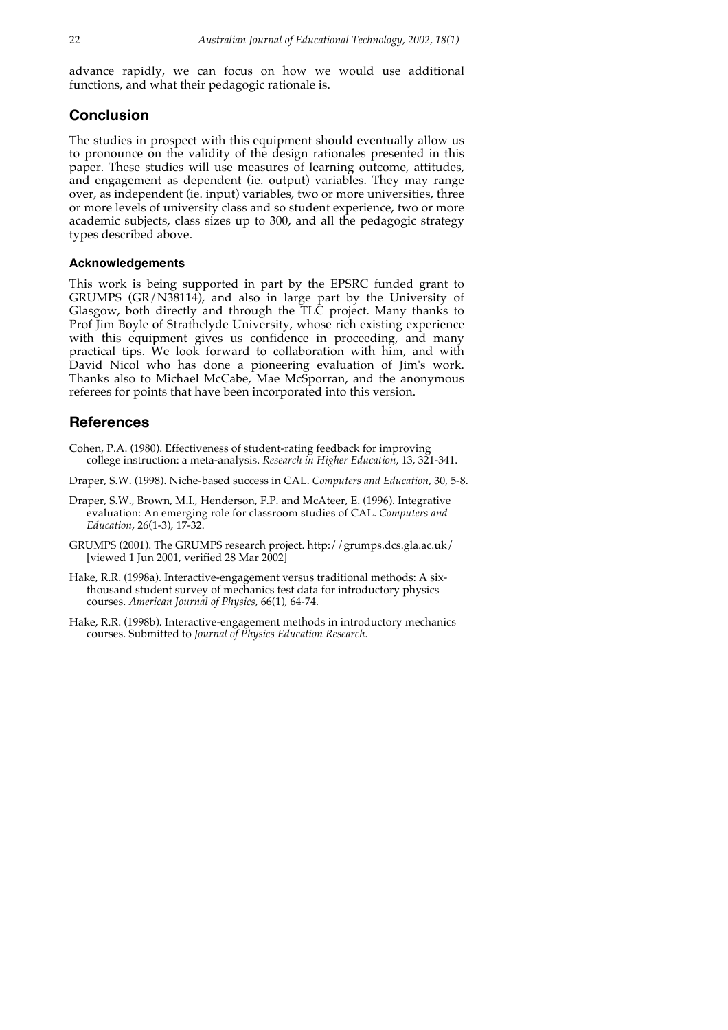advance rapidly, we can focus on how we would use additional functions, and what their pedagogic rationale is.

#### **Conclusion**

The studies in prospect with this equipment should eventually allow us to pronounce on the validity of the design rationales presented in this paper. These studies will use measures of learning outcome, attitudes, and engagement as dependent (ie. output) variables. They may range over, as independent (ie. input) variables, two or more universities, three or more levels of university class and so student experience, two or more academic subjects, class sizes up to 300, and all the pedagogic strategy types described above.

#### **Acknowledgements**

This work is being supported in part by the EPSRC funded grant to GRUMPS (GR/N38114), and also in large part by the University of Glasgow, both directly and through the TLC project. Many thanks to Prof Jim Boyle of Strathclyde University, whose rich existing experience with this equipment gives us confidence in proceeding, and many practical tips. We look forward to collaboration with him, and with David Nicol who has done a pioneering evaluation of Jim's work. Thanks also to Michael McCabe, Mae McSporran, and the anonymous referees for points that have been incorporated into this version.

## **References**

Cohen, P.A. (1980). Effectiveness of student-rating feedback for improving college instruction: a meta-analysis. *Research in Higher Education*, 13, 321-341.

Draper, S.W. (1998). Niche-based success in CAL. *Computers and Education*, 30, 5-8.

- Draper, S.W., Brown, M.I., Henderson, F.P. and McAteer, E. (1996). Integrative evaluation: An emerging role for classroom studies of CAL. *Computers and Education*, 26(1-3), 17-32.
- GRUMPS (2001). The GRUMPS research project. http://grumps.dcs.gla.ac.uk/ [viewed 1 Jun 2001, verified 28 Mar  $2002$ ]
- Hake, R.R. (1998a). Interactive-engagement versus traditional methods: A sixthousand student survey of mechanics test data for introductory physics courses. *American Journal of Physics*, 66(1), 64-74.
- Hake, R.R. (1998b). Interactive-engagement methods in introductory mechanics courses. Submitted to *Journal of Physics Education Research*.